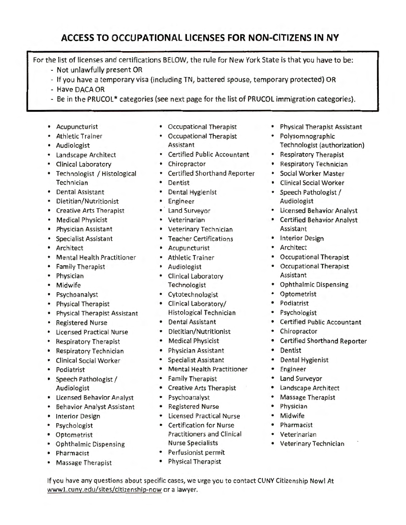## **ACCESS TO OCCUPATIONAL LICENSES FOR NON-CITIZENS IN NY**

For the list of licenses and certifications BELOW, the rule for New York State is that you have to be:

- Not unlawfully present OR
- If you have a temporary visa (including TN, battered spouse, temporary protected) OR
- Have OACA OR
- Be in the PRUCOL<sup>\*</sup> categories (see next page for the list of PRUCOL immigration categories).
- Acupuncturist
- Athletic Trainer
- Audiologist
- Landscape Architect
- Clinical Laboratory
- Technologist / Histological **Technician**
- Dental Assistant
- Dietitian/Nutritionist
- Creative Arts Therapist
- Medical Physicist
- Physician Assistant
- Specialist Assistant
- Architect
- Mental Health Practitioner
- Family Therapist
- Physician
- Midwife
- Psychoanalyst
- Physical Therapist
- Physical Therapist Assistant
- Registered Nurse
- Licensed Practical Nurse
- Respiratory Therapist
- Respiratory Technician
- Clinical Social Worker
- Podiatrist
- Speech Pathologist / Audiologist
- Licensed Behavior Analyst
- Behavior Analyst Assistant
- Interior Design
- Psychologist
- Optometrist
- Ophthalmic Dispensing

wwwl.cuny.edu/sites/citizenship-now or a lawyer.

- Pharmacist
- Massage Therapist
- Occupational Therapist
- Occupational Therapist Assistant
- Certified Public Accountant
- Chiropractor
- Certified Shorthand Reporter
- Dentist
- Dental Hygienist
- Engineer
- Land Surveyor
- Veterinarian
- Veterinary Technician
- Teacher Certifications
- Acupuncturist
- Athletic Trainer
- Audiologist
- Clinical Laboratory Technologist
- Cytotechnologist
- Clinical Laboratory/ Histological Technician
- Dental Assistant
- Dietitian/Nutritionist
- Medical Physicist
- Physician Assistant
- Specialist Assistant
- Mental Health Practitioner
- Family Therapist
- Creative Arts Therapist
- Psychoanalyst
- Registered Nurse
- Licensed Practical Nurse
- Certification for Nurse Practitioners and Clinical Nurse Specialists
- Perfusionist permit
- Physical Therapist

If you have any questions about specific cases, we urge you to contact CUNY Citizenship Now! At

- Physical Therapist Assistant
- Polysomnographic Technologist (authorization)
- Respiratory Therapist
- Respiratory Technician
- Social Worker Master
- Clinical Social Worker
- Speech Pathologist / Audiologist
- Licensed Behavior Analyst
- Certified Behavior Analyst Assistant
- Interior Design
- Architect
- Occupational Therapist
- Occupational Therapist Assistant
- Ophthalmic Dispensing
- Optometrist
- Podiatrist
- Psychologist
- Certified Public Accountant
- Chiropractor
- Certified Shorthand Reporter
- Dentist
- Dental Hygienist
- Engineer
- Land Surveyor
- Landscape Architect
- Massage Therapist

• Veterinary Technician

• Physician • Midwife

• Pharmacist • Veterinarian